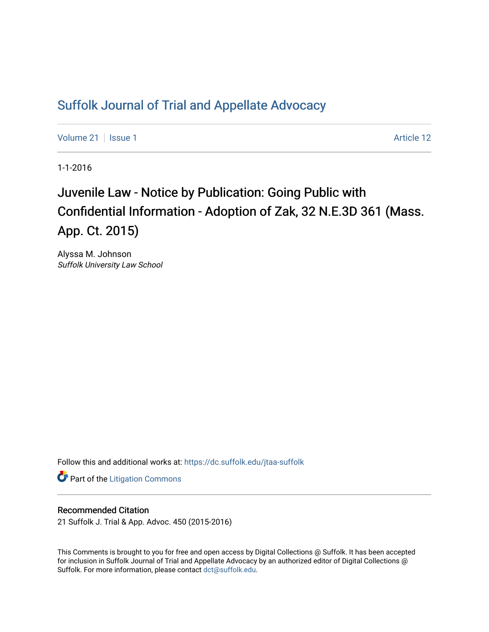## [Suffolk Journal of Trial and Appellate Advocacy](https://dc.suffolk.edu/jtaa-suffolk)

[Volume 21](https://dc.suffolk.edu/jtaa-suffolk/vol21) | [Issue 1](https://dc.suffolk.edu/jtaa-suffolk/vol21/iss1) Article 12

1-1-2016

# Juvenile Law - Notice by Publication: Going Public with Confidential Information - Adoption of Zak, 32 N.E.3D 361 (Mass. App. Ct. 2015)

Alyssa M. Johnson Suffolk University Law School

Follow this and additional works at: [https://dc.suffolk.edu/jtaa-suffolk](https://dc.suffolk.edu/jtaa-suffolk?utm_source=dc.suffolk.edu%2Fjtaa-suffolk%2Fvol21%2Fiss1%2F12&utm_medium=PDF&utm_campaign=PDFCoverPages) 

**Part of the [Litigation Commons](https://network.bepress.com/hgg/discipline/910?utm_source=dc.suffolk.edu%2Fjtaa-suffolk%2Fvol21%2Fiss1%2F12&utm_medium=PDF&utm_campaign=PDFCoverPages)** 

#### Recommended Citation

21 Suffolk J. Trial & App. Advoc. 450 (2015-2016)

This Comments is brought to you for free and open access by Digital Collections @ Suffolk. It has been accepted for inclusion in Suffolk Journal of Trial and Appellate Advocacy by an authorized editor of Digital Collections @ Suffolk. For more information, please contact [dct@suffolk.edu.](mailto:dct@suffolk.edu)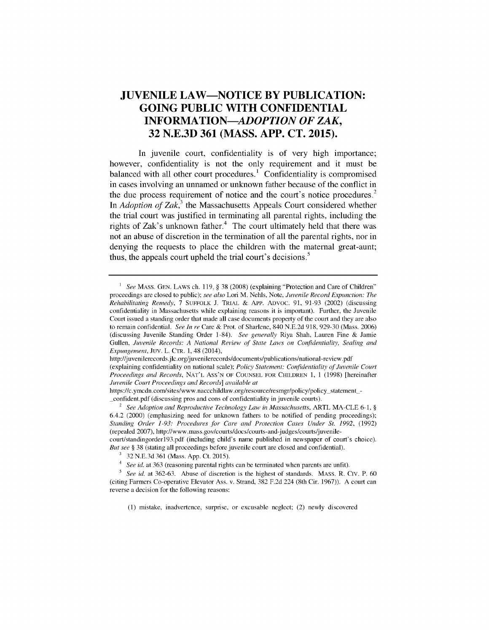### **JUVENILE LAW-NOTICE BY PUBLICATION: GOING PUBLIC WITH CONFIDENTIAL** *INFORMATION-ADOPTION OF ZAK,* **32 N.E.3D 361 (MASS. APP. CT. 2015).**

In juvenile court, confidentiality is of very high importance; however, confidentiality is not the only requirement and it must be balanced with all other court procedures.<sup>1</sup> Confidentiality is compromised in cases involving an unnamed or unknown father because of the conflict in the due process requirement of notice and the court's notice procedures.<sup>2</sup> In *Adoption of Zak,<sup>3</sup>*the Massachusetts Appeals Court considered whether the trial court was justified in terminating all parental rights, including the rights of Zak's unknown father.<sup>4</sup> The court ultimately held that there was not an abuse of discretion in the termination of all the parental rights, nor in denying the requests to place the children with the maternal great-aunt; thus, the appeals court upheld the trial court's decisions.<sup>5</sup>

http://juvenilerecords.jlc .org/juvenilerecords/documents/publications/national-review.pdf

<sup>&</sup>lt;sup>1</sup> *See* MASS. GEN. LAWS ch. 119, § 38 (2008) (explaining "Protection and Care of Children" proceedings **are closed to** public); *see* also Lori M. Nehls, Note, *Juvenile* Record Expunction: *The Rehabilitating Remedy,* **7** SUFFOLK **J.** TRIAL **&** App. ADvoc. **91, 91-93** (2002) (discussing confidentiality in Massachusetts while explaining reasons it is important). Further, the Juvenile Court issued a standing order that made all case documents property of the court and they are also to remain confidential. *See In re* Care **&** Prot. of Sharlene, 840 N.E.2d **918, 929-30** (Mass. 2006) (discussing Juvenile Standing Order 1-84). *See generally* Riya Shah, Lauren Fine **&** Jamie Gullen, *Juvenile Records: A National Review of State Laws on Confidentiality, Sealing and Expungement,* Juv. L. CTR. **1,** 48 (2014),

<sup>(</sup>explaining confidentiality on national scale); *Policy Statement: Confidentiality of Juvenile Court Proceedings and Records,* **NAT'L** ASS'N OF **COUNSEL** FOR CHILDREN **1, 1 (1998)** [hereinafter *Juvenile Court Proceedings and Records] available at*

https://c'ymcdn'com/sites/www'naccchildlaw'org/resource/esmgr/policy/policy statement  confident.pdf (discussing pros and cons of confidentiality in juvenile courts).

<sup>2</sup>*See Adoption and Reproductive Technology Law in Massachusetts,* ARTL **MA-CLE 6-1,** § 6.4.2 (2000) (emphasizing need for unknown fathers to be notified of pending proceedings); *Standing Order 1-93: Procedures for Care and Protection Cases Under St. 1992,* (1992) (repealed 2007), http://www.mass.gov/courts/docs/courts-and-judges/courts/juvenile-

court/standingorderl93.pdf (including child's name published in newspaper of court's choice). *But see §* **38** (stating all proceedings before juvenile court are closed and confidential).

**<sup>3</sup>32 N.E.3d 361** (Mass. **App.** Ct. 2015).

<sup>&</sup>lt;sup>4</sup> See id. at 363 (reasoning parental rights can be terminated when parents are unfit).

*<sup>5</sup>See id.* at **362-63.** Abuse of discretion is the highest of standards. MASS. R. Civ. P. **<sup>60</sup>** (citing Farmers Co-operative Elevator Ass. v. Strand, **382** F.2d 224 (8th Cir. 1967)). **A** court can reverse a decision for the following reasons:

<sup>(1)</sup> mistake, inadvertence, surprise, or excusable neglect; (2) newly discovered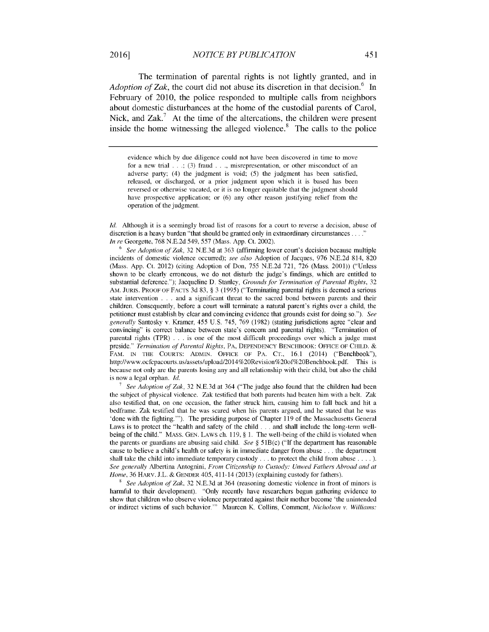The termination of parental rights is not lightly granted, and in *Adoption of Zak*, the court did not abuse its discretion in that decision.<sup>6</sup> In February of 2010, the police responded to multiple calls from neighbors about domestic disturbances at the home of the custodial parents of Carol, Nick, and  $\text{Zak}^7$  At the time of the altercations, the children were present inside the home witnessing the alleged violence.<sup>8</sup> The calls to the police

evidence which by due diligence could not have been discovered in time to move for a new trial **. ..;** (3) fraud **. ..,** misrepresentation, or other misconduct of an adverse party; (4) the judgment is void; (5) the judgment has been satisfied, released, or discharged, or a prior judgment upon which it is based has been reversed or otherwise vacated, or it is no longer equitable that the judgment should have prospective application; or (6) any other reason justifying relief from the operation of the judgment.

Id. Although it is a seemingly broad list of reasons for a court to reverse a decision, abuse of discretion is a heavy burden "that should be granted only in extraordinary circumstances **...**  *In re* Georgette, 768 N.E.2d 549, 557 (Mass. App. Ct. 2002).

**<sup>6</sup>***See Adoption of Zak,* 32 N.E.3d at 363 (affirming lower court's decision because multiple incidents of domestic violence occurred); *see also* Adoption of Jacques, 976 N.E.2d 814, 820 (Mass. App. Ct. 2012) (citing Adoption of Don, 755 N.E.2d 721, 726 (Mass. 2001)) ("Unless shown to be clearly erroneous, we do not disturb the judge's findings, which are entitled to substantial deference."); Jacqueline D. Stanley, *Grounds for Termination of Parental Rights,* 32 AM. JURIS. PROOF OF FACTS 3d 83, § 3 (1995) ("Terminating parental rights is deemed a serious state intervention . . . and a significant threat to the sacred bond between parents and their children. Consequently, before a court will terminate a natural parent's rights over a child, the petitioner must establish by clear and convincing evidence that grounds exist for doing so."). *See generally* Santosky v. Kramer, 455 U.S. 745, 769 (1982) (stating jurisdictions agree "clear and convincing" is correct balance between state's concern and parental rights). "Termination of parental rights (TPR) . . . is one of the most difficult proceedings over which a judge must preside." *Termination of Parental Rights,* PA, DEPENDENCY BENCHBOOK: OFFICE OF CHILD. & FAM. IN THE COURTS: ADMIN. OFFICE OF PA. CT., 16.1 (2014) ("Benchbook"), http://www.ocfcpacourts.us/assets/upload/2014%20Revision%20of%20Benchbook.pdf. This is because not only are the parents losing any and all relationship with their child, but also the child is now a legal orphan.  $Id$ .

**7** *See Adoption of Zak,* 32 N.E.3d at 364 ("The judge also found that the children had been the subject of physical violence. Zak testified that both parents had beaten him with a belt. Zak also testified that, on one occasion, the father struck him, causing him to fall back and hit a bedframe. Zak testified that he was scared when his parents argued, and he stated that he was 'done with the fighting."'). The presiding purpose of Chapter 119 of the Massachusetts General Laws is to protect the "health and safety of the child **...** and shall include the long-term wellbeing of the child." MASS. GEN. LAWS ch. 119, § 1. The well-being of the child is violated when the parents or guardians are abusing said child. *See* § 5 1B(c) ("If the department has reasonable cause to believe a child's health or safety is in immediate danger from abuse **...** the department shall take the child into immediate temporary custody **...** to protect the child from abuse **.... ).** *See generally* Albertina Antognini, *From Citizenship to Custody: Unwed Fathers Abroad and at Home,* 36 HARV. J.L. & GENDER 405, 411-14 (2013) (explaining custody for fathers).

**8** *See Adoption of Zak,* 32 N.E.3d at 364 (reasoning domestic violence in front of minors is harmful to their development). "Only recently have researchers begun gathering evidence to show that children who observe violence perpetrated against their mother become 'the unintended or indirect victims of such behavior."' Maureen K. Collins, Comment, *Nicholson v. Williams:*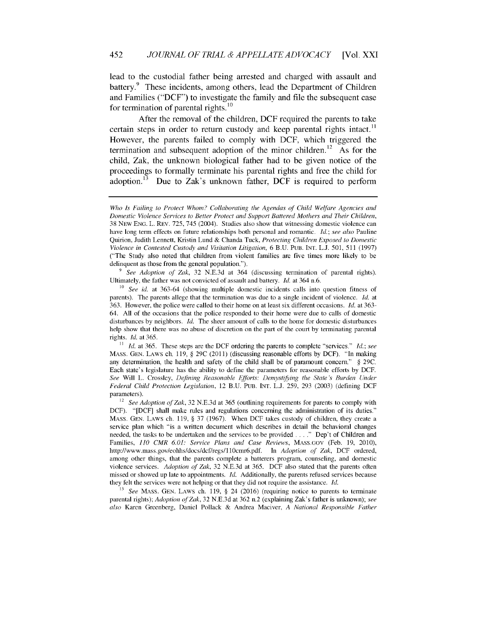lead to the custodial father being arrested and charged with assault and battery.<sup>9</sup> These incidents, among others, lead the Department of Children and Families ("DCF") to investigate the family and file the subsequent case for termination of parental rights. $^{10}$ 

After the removal of the children, DCF required the parents to take certain steps in order to return custody and keep parental rights intact.<sup>11</sup> However, the parents failed to comply with DCF, which triggered the termination and subsequent adoption of the minor children.<sup>12</sup> As for the child, Zak, the unknown biological father had to be given notice of the proceedings to formally terminate his parental rights and free the child for adoption.<sup>13</sup> Due to Zak's unknown father, DCF is required to perform

**9** *See Adoption of Zak,* 32 N.E.3d at 364 (discussing termination of parental rights). Ultimately, the father was not convicted of assault and battery. *Id.* at 364 n.6.

*Who Is Failing to Protect Whom? Collaborating the Agendas of Child Welfare Agencies and Domestic Violence Services to Better Protect and Support Battered Mothers and Their Children,* 38 NEW ENG. L. REv. 725, 745 (2004). Studies also show that witnessing domestic violence can have long term effects on future relationships both personal and romantic. ld.; *see also* Pauline Quirion, Judith Lennett, Kristin Lund & Chanda Tuck, *Protecting Children Exposed to Domestic Violence in Contested Custody and Visitation Litigation,* 6 B.U. PUB. INT. L.J. 501, 511 (1997) ("The Study also noted that children from violent families are five times more likely to be delinquent as those from the general population.").

**<sup>10</sup>** *See id.* at 363-64 (showing multiple domestic incidents calls into question fitness of parents). The parents allege that the termination was due to a single incident of violence.  $Id$  at 363. However, the police were called to their home on at least six different occasions. *Id.* at 363- 64. All of the occasions that the police responded to their home were due to calls of domestic disturbances by neighbors. Id. The sheer amount of calls to the home for domestic disturbances help show that there was no abuse of discretion on the part of the court by terminating parental rights. *Id.* at 365.

**<sup>11</sup>** *Id.* at 365. These steps are the DCF ordering the parents to complete "services." *Id.; see* MASS. GEN. LAWS ch. 119, § 29C (2011) (discussing reasonable efforts by DCF). "In making any determination, the health and safety of the child shall be of paramount concern." § 29C. Each state's legislature has the ability to define the parameters for reasonable efforts by DCF. *See* Will L. Crossley, *Defining Reasonable Efforts: Demystifying the State's Burden Under Federal Child Protection Legislation,* 12 B.U. PUB. INT. L.J. 259, 293 (2003) (defining DCF parameters).

<sup>12</sup>*See Adoption of Zak,* 32 N.E.3d at 365 (outlining requirements for parents to comply with DCF). "[DCF] shall make rules and regulations concerning the administration of its duties." MASS. GEN. LAWS ch. 119, § 37 (1967). When DCF takes custody of children, they create a service plan which "is a written document which describes in detail the behavioral changes needed, the tasks to be undertaken and the services to be provided . . . ." Dep't of Children and Families, *110 CMR 6.01: Service Plans and Case Reviews,* MASS.GOV (Feb. 19, 2010), http://www.mass.gov/eohhs/docs/dcf/regs/l10cmr6.pdf. In *Adoption of Zak,* DCF ordered, among other things, that the parents complete a batterers program, counseling, and domestic violence services. *Adoption of Zak,* 32 N.E.3d at 365. DCF also stated that the parents often missed or showed up late to appointments, *Id.* Additionally, the parents refused services because they felt the services were not helping or that they did not require the assistance. *Id.*

<sup>13</sup>*See* MASS. GEN. LAWS ch. 119, § 24 (2016) (requiring notice to parents to terminate parental rights); *Adoption of Zak,* 32 N.E.3d at 362 n.2 (explaining Zak's father is unknown); *see also* Karen Greenberg, Daniel Pollack & Andrea Maciver, *A National Responsible Father*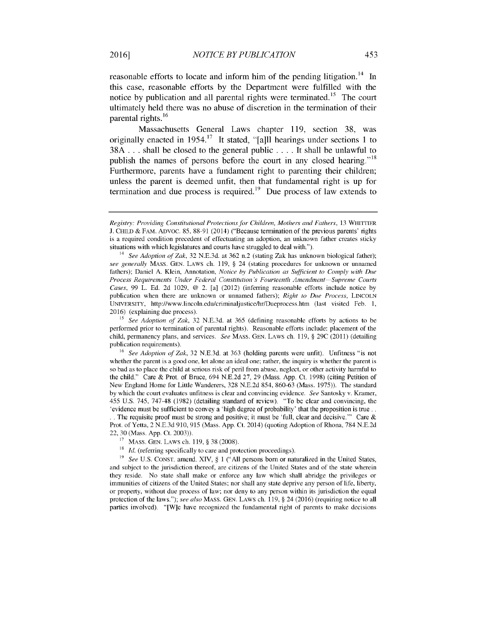reasonable efforts to locate and inform him of the pending litigation.<sup>14</sup> In this case, reasonable efforts by the Department were fulfilled with the notice by publication and all parental rights were terminated.<sup>15</sup> The court ultimately held there was no abuse of discretion in the termination of their parental rights.<sup>16</sup>

Massachusetts General Laws chapter 119, section 38, was originally enacted in 1954.<sup>17</sup> It stated, "[a]ll hearings under sections 1 to 38A ... shall be closed to the general public .... It shall be unlawful to publish the names of persons before the court in any closed hearing."<sup>18</sup> Furthermore, parents have a fundament right to parenting their children; unless the parent is deemed unfit, then that fundamental right is up for termination and due process is required.<sup>19</sup> Due process of law extends to

**<sup>15</sup>***See Adoption of Zak,* 32 N.E.3d. at 365 (defining reasonable efforts by actions to be performed prior to termination of parental rights). Reasonable efforts include: placement of the child, permanency plans, and services. *See* MASS. GEN. LAWS ch. 119, § 29C (2011) (detailing publication requirements).

**<sup>16</sup>***See Adoption of Zak,* 32 N.E.3d. at 363 (holding parents were unfit). Unfitness "is not whether the parent is a good one, let alone an ideal one; rather, the inquiry is whether the parent is so bad as to place the child at serious risk of peril from abuse, neglect, or other activity harmful to the child." Care & Prot. of Bruce, 694 N.E.2d 27, 29 (Mass. App. Ct. 1998) (citing Petition of New England Home for Little Wanderers, 328 N.E.2d 854, 860-63 (Mass. 1975)). The standard by which the court evaluates unfitness is clear and convincing evidence. *See* Santosky v. Kramer, 455 U.S. 745, 747-48 (1982) (detailing standard of review). "To be clear and convincing, the 'evidence must be sufficient to convey a 'high degree of probability' that the proposition is true.. **..**The requisite proof must be strong and positive; it must be 'full, clear and decisive."' Care & Prot. of Yetta, 2 N.E.3d 910, 915 (Mass. App. Ct. 2014) (quoting Adoption of Rhona, 784 N.E.2d 22, 30 (Mass. App. Ct. 2003)).

<sup>19</sup> *See U.S. CONST. amend. XIV, § 1 ("All persons born or naturalized in the United States,* and subject to the jurisdiction thereof, are citizens of the United States and of the state wherein they reside. No state shall make or enforce any law which shall abridge the privileges or immunities of citizens of the United States; nor shall any state deprive any person of life, liberty, or property, without due process of law; nor deny to any person within its jurisdiction the equal protection of the laws."); *see also* MASS. GEN. LAWS ch. 119, § 24 (2016) (requiring notice to all parties involved). "[W]e have recognized the fundamental right of parents to make decisions

*Registry: Providing Constitutional Protections for Children, Mothers and Fathers,* 13 WHITTIER **J. CHILD &** FAM. ADVOC. 85, 88-91 (2014) ("Because termination of the previous parents' rights is a required condition precedent of effectuating an adoption, an unknown father creates sticky situations with which legislatures and courts have struggled to deal with.").

<sup>&</sup>lt;sup>14</sup> See Adoption of Zak, 32 N.E.3d. at 362 n.2 (stating Zak has unknown biological father); *see generally* MASS. GEN. LAWS ch. 119, § 24 (stating procedures for unknown or unnamed fathers); Daniel A. Klein, Annotation, *Notice by Publication as Sufficient to Comply with Due Process Requirements Under Federal Constitution's Fourteenth Amendment Supreme Courts Cases,* 99 L. Ed. 2d 1029, @ 2. [a] (2012) (inferring reasonable efforts include notice by publication when there are unknown or unnamed fathers); *Right to Due Process*, LINCOLN UNIVERSITY, http://www.lincoln.edu/criminaljustice/hr/Dueprocess.htm (last visited Feb. 1, 2016) (explaining due process).

**<sup>17</sup>** MASS. GEN. LAWS ch. 119, § 38 (2008).

<sup>&</sup>lt;sup>18</sup> *Id.* (referring specifically to care and protection proceedings).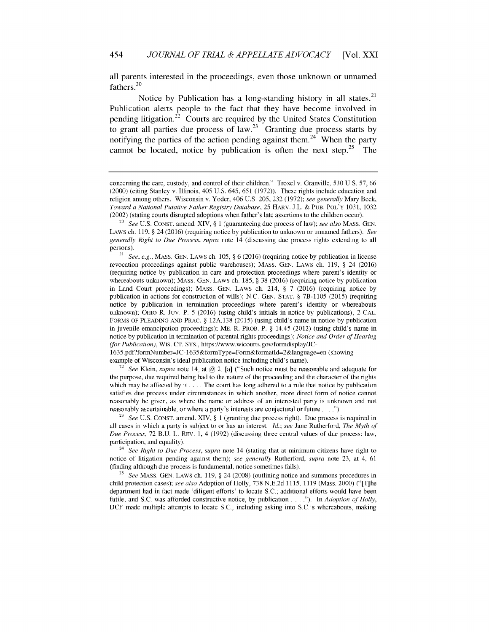all parents interested in the proceedings, even those unknown or unnamed fathers.<sup>20</sup>

Notice by Publication has a long-standing history in all states.<sup>21</sup> Publication alerts people to the fact that they have become involved in pending litigation.<sup>22</sup> Courts are required by the United States Constitution to grant all parties due process of law.<sup>23</sup> Granting due process starts by notifying the parties of the action pending against them.<sup>24</sup> When the party cannot be located, notice by publication is often the next step.<sup>25</sup>

1635.pdf?formfNumber=JC- 1635&formType=Form&formatld=2&language=en (showing example of Wisconsin's ideal publication notice including child's name).

<sup>22</sup> See Klein, *supra* note 14, at  $\omega$  2. [a] ("Such notice must be reasonable and adequate for the purpose, due required being had to the nature of the proceeding and the character of the rights which may be affected by it .... The court has long adhered to a rule that notice by publication satisfies due process under circumstances in which another, more direct form of notice cannot reasonably be given, as where the name or address of an interested party is unknown and not reasonably ascertainable, or where a party's interests are conjectural or future **.... ").**

**<sup>23</sup>***See* U.S. CONST. amend. XIV, § 1 (granting due process right). Due process is required in all cases in which a party is subject to or has an interest. *Id.; see* Jane Rutherford, *The Myth of Due Process,* 72 B.U. L. REV. 1, 4 (1992) (discussing three central values of due process: law, participation, and equality).

<sup>24</sup>*See Right to Due Process, supra* note 14 (stating that at minimum citizens have right to notice of litigation pending against them); *see generally* Rutherford, *supra* note 23, at 4, 61 (finding although due process is fundamental, notice sometimes fails).

**<sup>25</sup>***See* MASS. GEN. LAWS ch. 119, § 24 (2008) (outlining notice and summons procedures in child protection cases); *see also* Adoption of Holly, 738 N.E.2d 1115, 1119 (Mass. 2000) ("[T]he department had in fact made 'diligent efforts' to locate S.C.; additional efforts would have been futile; and S.C. was afforded constructive notice, by publication **.... ").** In *Adoption of Holly,* DCF made multiple attempts to locate S.C., including asking into S.C.'s whereabouts, making

concerning the care, custody, and control of their children." Troxel v. Granville, 530 U.S. 57, 66 (2000) (citing Stanley v. Illinois, 405 U.S. 645, 651 (1972)). These rights include education and religion among others. Wisconsin v. Yoder, 406 U.S. 205, 232 (1972); *see generally* Mary Beck, *Toward a National Putative Father Registry Database,* 25 HARV. J.L. & PUB. POL'Y 1031, 1032 (2002) (stating courts disrupted adoptions when father's late assertions to the children occur).

<sup>20</sup>*See* U.S. CONST. amend. XIV, § 1 (guaranteeing due process of law); *see also* MASS. GEN. LAWS ch. 119, § 24 (2016) (requiring notice by publication to unknown or unnamed fathers). *See generally Right to Due Process, supra* note 14 (discussing due process rights extending to all persons).

<sup>21</sup> *See, e.g.,* MASS. GEN. LAWS ch. 105, § 6 (2016) (requiring notice by publication in license revocation proceedings against public warehouses); MASS. GEN. LAWS ch. 119, § 24 (2016) (requiring notice by publication in care and protection proceedings where parent's identity or whereabouts unknown); MASS. GEN. LAWS ch. 185, § 38 (2016) (requiring notice by publication in Land Court proceedings); MASS. GEN. LAWS ch. 214, § 7 (2016) (requiring notice by publication in actions for construction of wills); N.C. GEN. STAT. § 7B-1105 (2015) (requiring notice by publication in termination proceedings where parent's identity or whereabouts unknown); OHIO R. Juv. P. 5 (2016) (using child's initials in notice by publications); 2 CAL. FORMS OF PLEADING AND PRAC. § 12A.138 (2015) (using child's name in notice by publication in juvenile emancipation proceedings); ME. R. PROB. P. § 14.45 (2012) (using child's name in notice by publication in termination of parental rights proceedings); *Notice and Order of Hearing (for Publication),* WIs. **CT.** SYS., https://www.wicourts.gov/formdisplay/JC-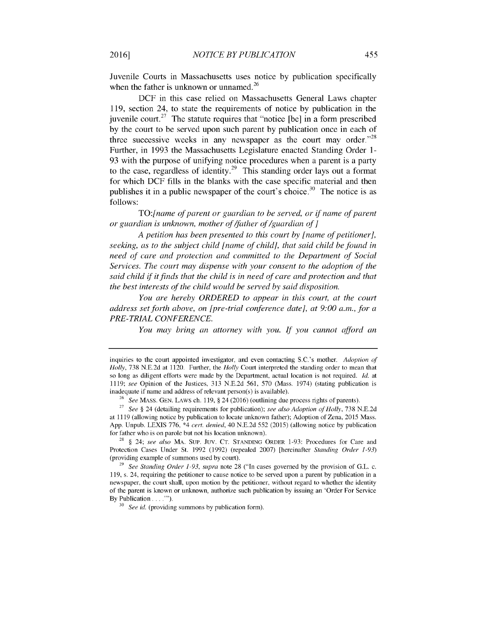Juvenile Courts in Massachusetts uses notice by publication specifically when the father is unknown or unnamed.<sup>26</sup>

DCF in this case relied on Massachusetts General Laws chapter 119, section 24, to state the requirements of notice by publication in the juvenile court.<sup>27</sup> The statute requires that "notice [be] in a form prescribed by the court to be served upon such parent by publication once in each of three successive weeks in any newspaper as the court may order.<sup> $28$ </sup> Further, in 1993 the Massachusetts Legislature enacted Standing Order 1- 93 with the purpose of unifying notice procedures when a parent is a party to the case, regardless of identity.<sup>29</sup> This standing order lays out a format for which DCF fills in the blanks with the case specific material and then publishes it in a public newspaper of the court's choice.<sup>30</sup> The notice is as follows:

*TO:[name of parent or guardian to be served, or if name of parent or guardian is unknown, mother of/father of/guardian of]*

*A petition has been presented to this court by [name of petitioner], seeking, as to the subject child [name of child], that said child be found in need of care and protection and committed to the Department of Social Services. The court may dispense with your consent to the adoption of the said child* if *it finds that the child is in need of care and protection and that the best interests of the child would be served by said disposition.*

*You are hereby ORDERED to appear in this court, at the court address set forth above, on [pre-trial conference date], at 9:00 a.m., for a PRE- TRIAL CONFERENCE.*

*You may bring an attorney with you. If you cannot afford an*

inquiries to the court appointed investigator, and even contacting S.C.'s mother. *Adoption of Holly,* 738 N.E.2d at 1120. Further, the *Holly* Court interpreted the standing order to mean that so long as diligent efforts were made by the Department, actual location is not required. *Id.* at 1119; *see* Opinion of the Justices, 313 N.E.2d 561, 570 (Mass. 1974) (stating publication is inadequate if name and address of relevant person(s) is available).

**<sup>26</sup>***See* MAss. GEN. LAWS ch. 119, § 24 (2016) (outlining due process rights of parents).

<sup>27</sup>*See §* 24 (detailing requirements for publication); *see also Adoption of Holly,* 738 N.E.2d at 1119 (allowing notice by publication to locate unknown father); Adoption of Zena, 2015 Mass. App. Unpub. LEXIS 776, \*4 *cert. denied,* 40 N.E.2d 552 (2015) (allowing notice by publication for father who is on parole but not his location unknown).

<sup>28</sup>§ 24; *see also* MA. SuP. Juv. **CT.** STANDING ORDER 1-93: Procedures for Care and Protection Cases Under St. 1992 (1992) (repealed 2007) [hereinafter *Standing Order 1-93)* (providing example of summons used by court).

**<sup>29</sup>***See Standing Order 1-93, supra* note 28 ("In cases governed by the provision of G.L. c. 119, s. 24, requiring the petitioner to cause notice to be served upon a parent by publication in a newspaper, the court shall, upon motion by the petitioner, without regard to whether the identity of the parent is known or unknown, authorize such publication **by** issuing an 'Order For Service By Publication . . . . "").

**<sup>30</sup>** *See id.* (providing summons by publication form).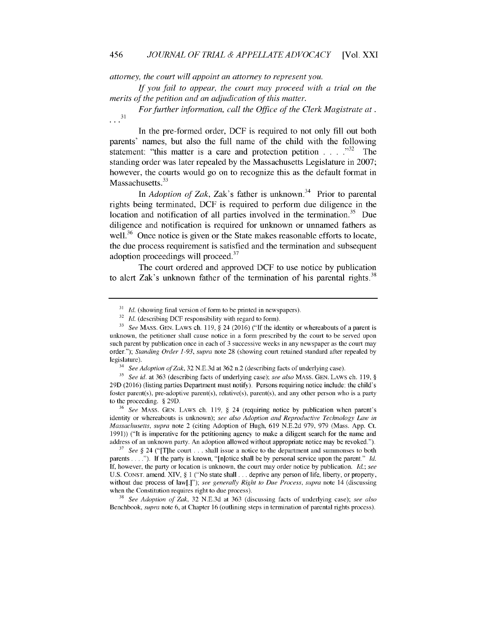attorney, the court will appoint an attorney to represent you.

If you fail to appear, the court may proceed with a trial on the merits of the petition and an adjudication of this matter.

For further information, call the Office of the Clerk Magistrate at.  $\ldots$ <sup>31</sup>

In the pre-formed order, DCF is required to not only fill out both parents' names, but also the full name of the child with the following statement: "this matter is a care and protection petition **..... 32** The standing order was later repealed by the Massachusetts Legislature in 2007; however, the courts would go on to recognize this as the default format in Massachusetts. $33$ 

In *Adoption of Zak*, Zak's father is unknown.<sup>34</sup> Prior to parental rights being terminated, DCF is required to perform due diligence in the location and notification of all parties involved in the termination.<sup>35</sup> Due diligence and notification is required for unknown or unnamed fathers as well.<sup>36</sup> Once notice is given or the State makes reasonable efforts to locate, the due process requirement is satisfied and the termination and subsequent adoption proceedings will proceed.<sup>37</sup>

The court ordered and approved DCF to use notice by publication to alert Zak's unknown father of the termination of his parental rights.<sup>38</sup>

**<sup>36</sup>***See* MAss. GEN. LAWS ch. 119, § 24 (requiring notice by publication when parent's identity or whereabouts is unknown); *see also Adoption and Reproductive Technology Law in Massachusetts, supra* note 2 (citing Adoption of Hugh, 619 N.E.2d 979, 979 (Mass. App. Ct. 1991)) ("It is imperative for the petitioning agency to make a diligent search for the name and address of an unknown party. An adoption allowed without appropriate notice may be revoked.").

**<sup>37</sup>***See §* 24 ("[T]he court ... shall issue a notice to the department and summonses to both parents **.... "). If** the party is known, "[n]otice shall be by personal service upon the parent." *Id.* If, however, the party or location is unknown, the court may order notice by publication. *Id.; see* U.S. CONST. amend. XIV, § 1 ("No state shall *...* deprive any person of life, liberty, or property, without due process of law[.]"); *see generally Right to Due Process, supra* note 14 (discussing when the Constitution requires right to due process).

<sup>38</sup>*See Adoption of Zak,* 32 N.E.3d at 363 (discussing facts of underlying case); *see also* Benchbook, *supra* note 6, at Chapter 16 (outlining steps in termination of parental rights process).

<sup>&</sup>lt;sup>31</sup> *Id.* (showing final version of form to be printed in newspapers).

<sup>&</sup>lt;sup>32</sup> *Id.* (describing DCF responsibility with regard to form).

**<sup>33</sup>***See* MAss. GEN. LAWS ch. 119, § 24 (2016) ("If the identity or whereabouts of a parent is unknown, the petitioner shall cause notice in a form prescribed by the court to be served upon such parent by publication once in each of 3 successive weeks in any newspaper as the court may order."); *Standing Order 1-93, supra* note 28 (showing court retained standard after repealed by legislature).

See Adoption of Zak, 32 N.E.3d at 362 n.2 (describing facts of underlying case).

**<sup>35</sup>***See id.* at 363 (describing facts of underlying case); *see also* MAss. GEN. LAWS ch. 119, § 29D (2016) (listing parties Department must notify). Persons requiring notice include: the child's foster parent(s), pre-adoptive parent(s), relative(s), parent(s), and any other person who is a party to the proceeding. § 29D.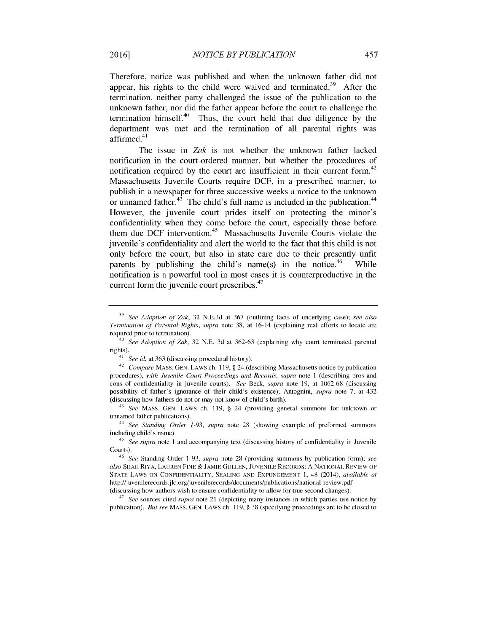Therefore, notice was published and when the unknown father did not appear, his rights to the child were waived and terminated.<sup>39</sup> After the termination, neither party challenged the issue of the publication to the unknown father, nor did the father appear before the court to challenge the termination himself. $40$  Thus, the court held that due diligence by the department was met and the termination of all parental rights was affirmed. $41$ 

The issue in *Zak* is not whether the unknown father lacked notification in the court-ordered manner, but whether the procedures of notification required by the court are insufficient in their current form.<sup>42</sup> Massachusetts Juvenile Courts require **DCF,** in a prescribed manner, to publish in a newspaper for three successive weeks a notice to the unknown or unnamed father. $43$  The child's full name is included in the publication. $44$ However, the juvenile court prides itself on protecting the minor's confidentiality when they come before the court, especially those before them due DCF intervention.<sup>45</sup> Massachusetts Juvenile Courts violate the juvenile's confidentiality and alert the world to the fact that this child is not only before the court, but also in state care due to their presently unfit parents by publishing the child's name(s) in the notice.<sup>46</sup> While notification is a powerful tool in most cases it is counterproductive in the current form the juvenile court prescribes. $47$ 

**<sup>39</sup>***See Adoption of Zak,* 32 N.E.3d at 367 (outlining facts of underlying case); *see also Termination of Parental Rights, supra* note 38, at 16-14 (explaining real efforts to locate are required prior to termination).

<sup>40</sup>*See Adoption of Zak,* 32 N.E. 3d at 362-63 (explaining why court terminated parental rights).

<sup>41</sup>*See id.* at 363 (discussing procedural history).

<sup>42</sup>*Compare* MASS. GEN. LAWS ch. 119, § 24 (describing Massachusetts notice by publication procedures), *with Juvenile Court Proceedings and Records, supra* note 1 (describing pros and cons of confidentiality in juvenile courts). *See* Beck, *supra* note 19, at 1062-68 (discussing possibility of father's ignorance of their child's existence); Antognini, *supra* note 7, at 432 (discussing how fathers do not or may not know of child's birth).

<sup>43</sup>*See* MASS. GEN. LAWS ch. 119, § 24 (providing general summons for unknown or unnamed father publications).

<sup>44</sup>*See Standing Order 1-93, supra* note 28 (showing example of preformed summons including child's name).

<sup>45</sup>*See supra* note 1 and accompanying text (discussing history of confidentiality in Juvenile Courts).

<sup>46</sup>*See* Standing Order 1-93, *supra* note 28 (providing summons by publication form); *see also* SHAH RIYA, LAUREN FINE & JAMIE GULLEN, JUVENILE RECORDS: A NATIONAL REVIEW OF STATE LAWS ON CONFIDENTIALITY, SEALING AND EXPUNGEMENT 1, 48 (2014), *available at* http://juvenilerecords.jlc .org/juvenilerecords/documents/publications/national-review.pdf (discussing how authors wish to ensure confidentiality to allow for true second changes).

<sup>47</sup>*See* sources cited *supra* note 21 (depicting many instances in which parties use notice by publication). *But see* MASS. GEN. LAWS ch. 119, § 38 (specifying proceedings are to be closed to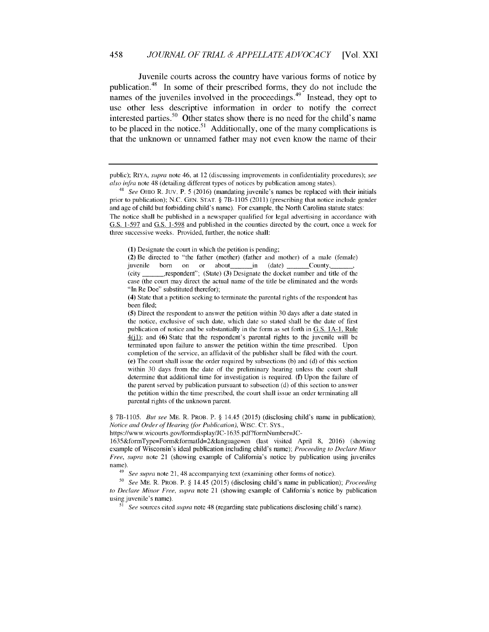#### 458 *JOURNAL OF TRIAL & APPELLATE ADVOCACY* [Vol. XXI

Juvenile courts across the country have various forms of notice by publication.<sup>48</sup> In some of their prescribed forms, they do not include the names of the juveniles involved in the proceedings. $49$  Instead, they opt to use other less descriptive information in order to notify the correct interested parties.<sup>50</sup> Other states show there is no need for the child's name to be placed in the notice.<sup>51</sup> Additionally, one of the many complications is that the unknown or unnamed father may not even know the name of their

§ 7B-1105. *But see* ME. R. PROB. P. § 14.45 (2015) (disclosing child's name in publication); *Notice and Order of Hearing (for Publication),* Wisc. **CT.** SYS.,

https://www.wicourts.gov/formdisplay/JC-1635.pdf?formNumber=JC-

1635&formType=Form&formatld=2&language=en (last visited April 8, 2016) (showing example of Wisconsin's ideal publication including child's name); *Proceeding to Declare Minor Free, supra* note 21 (showing example of California's notice by publication using juveniles name).

<sup>49</sup>*See supra* note 21, 48 accompanying text (examining other forms of notice).

**<sup>50</sup>***See* ME. R. PROB. P. § 14.45 (2015) (disclosing child's name in publication); *Proceeding to Declare Minor Free, supra* note 21 (showing example of California's notice **by** publication using juvenile's name).

51 *See* sources cited *supra* note 48 (regarding state publications disclosing child's name).

public); RIYA, *supra* note 46, at 12 (discussing improvements in confidentiality procedures); *see also infra* note 48 (detailing different types of notices by publication among states).

<sup>48</sup> *See* OHIo R. Juv. P. 5 (2016) (mandating juvenile's names be replaced with their initials prior to publication); N.C. GEN. STAT. § 7B-1105 (2011) (prescribing that notice include gender and age of child but forbidding child's name). For example, the North Carolina statute states: The notice shall be published in a newspaper qualified for legal advertising in accordance with G.S. 1-597 and G.S. 1-598 and published in the counties directed by the court, once a week for three successive weeks. Provided, further, the notice shall:

<sup>(1)</sup> Designate the court in which the petition is pending;

<sup>(2)</sup> Be directed to "the father (mother) (father and mother) of a male (female) juvenile born on or about in (date) County, (city \_,respondent"; (State) (3) Designate the docket number and title of the case (the court may direct the actual name of the title be eliminated and the words "In Re Doe" substituted therefor);

<sup>(4)</sup> State that a petition seeking to terminate the parental rights of the respondent has been filed;

<sup>(5)</sup> Direct the respondent to answer the petition within 30 days after a date stated in the notice, exclusive of such date, which date so stated shall be the date of first publication of notice and be substantially in the form as set forth in G.S. 1A-1, Rule **40-11;** and (6) State that the respondent's parental rights to the juvenile will be terminated upon failure to answer the petition within the time prescribed. Upon completion of the service, an affidavit of the publisher shall be filed with the court. (e) The court shall issue the order required by subsections (b) and (d) of this section within 30 days from the date of the preliminary hearing unless the court shall determine that additional time for investigation is required. (f) Upon the failure of the parent served by publication pursuant to subsection (d) of this section to answer the petition within the time prescribed, the court shall issue an order terminating all parental rights of the unknown parent.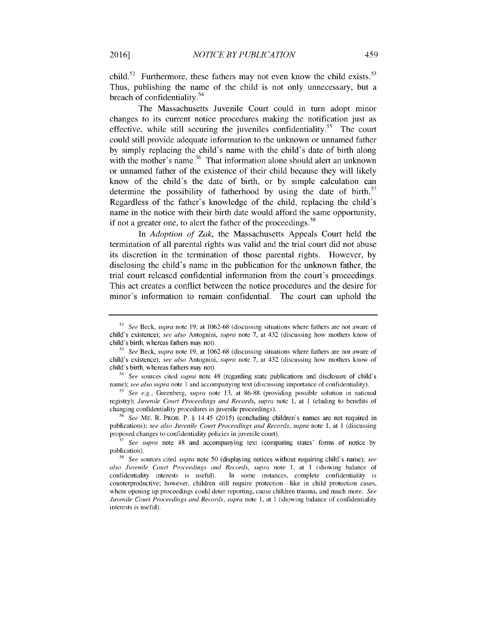child.<sup>52</sup> Furthermore, these fathers may not even know the child exists.<sup>53</sup> Thus, publishing the name of the child is not only unnecessary, but a breach of confidentiality.<sup>54</sup>

The Massachusetts Juvenile Court could in turn adopt minor changes to its current notice procedures making the notification just as effective, while still securing the juveniles confidentiality.<sup>55</sup> The court could still provide adequate information to the unknown or unnamed father **by** simply replacing the child's name with the child's date of birth along with the mother's name.<sup>56</sup> That information alone should alert an unknown or unnamed father of the existence of their child because they will likely know of the child's the date of birth, or **by** simple calculation can determine the possibility of fatherhood by using the date of birth.<sup>57</sup> Regardless of the father's knowledge of the child, replacing the child's name in the notice with their birth date would afford the same opportunity, if not a greater one, to alert the father of the proceedings.<sup>58</sup>

In *Adoption of Zak,* the Massachusetts Appeals Court held the termination of all parental rights was valid and the trial court did not abuse its discretion in the termination of those parental rights. However, **by** disclosing the child's name in the publication for the unknown father, the trial court released confidential information from the court's proceedings. This act creates a conflict between the notice procedures and the desire for minor's information to remain confidential. The court can uphold the

*<sup>56</sup>See* ME. R. PROB. P. § 14.45 (2015) (concluding children's names are not required in publications); *see also Juvenile Court Proceedings and Records, supra* note 1, at 1 (discussing proposed changes to confidentiality policies in juvenile court).

**2016]**

<sup>52</sup> *See* Beck, *supra* note 19, at 1062-68 (discussing situations where fathers are not aware of child's existence); *see also* Antognini, *supra* note 7, at 432 (discussing how mothers know of child's birth, whereas fathers may not).

**<sup>53</sup>***See* Beck, *supra* note 19, at 1062-68 (discussing situations where fathers are not aware of child's existence); *see also* Antognini, *supra* note 7, at 432 (discussing how mothers know of child's birth, whereas fathers may not).

*<sup>54</sup> See* sources cited *supra* note 48 (regarding state publications and disclosure of child's name); *see also supra* note 1 and accompanying text (discussing importance of confidentiality).

**<sup>55</sup>** See e.g., Greenberg, *supra* note 13, at 86-88 (providing possible solution in national registry); *Juvenile Court Proceedings and Records, supra* note 1, at 1 (eluding to benefits of changing confidentiality procedures in juvenile proceedings).

*<sup>57</sup> See supra* note 48 and accompanying text (comparing states' forms of notice **by** publication).

<sup>58</sup> *See* sources cited *supra* note 50 (displaying notices without requiring child's name); *see also Juvenile Court Proceedings and Records, supra* note 1, at 1 (showing balance of confidentiality interests is useful). In some instances, complete confidentiality is counterproductive; however, children still require protection-like in child protection cases, where opening up proceedings could deter reporting, cause children trauma, and much more. *See Juvenile Court Proceedings and Records, supra note 1, at 1 (showing balance of confidentiality* interests is useful).